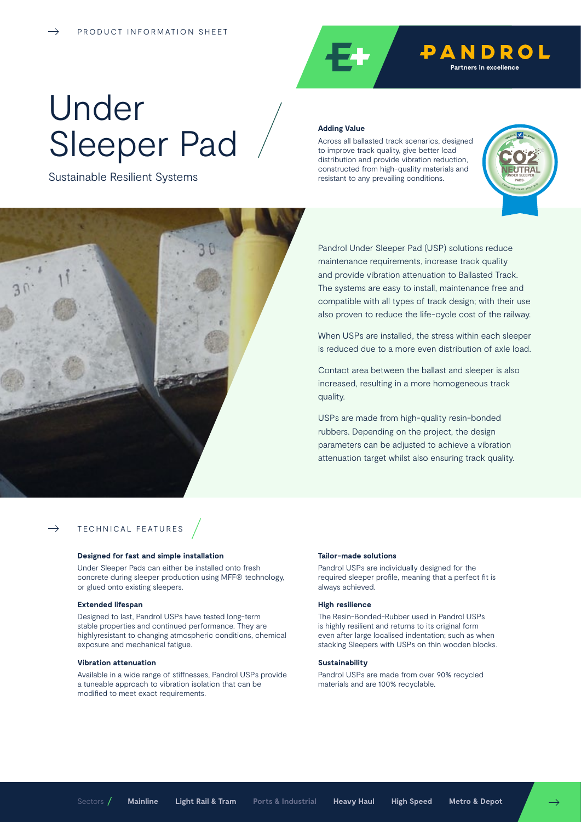

# Under Sleeper Pad

Sustainable Resilient Systems

#### **Adding Value**

Across all ballasted track scenarios, designed to improve track quality, give better load distribution and provide vibration reduction, constructed from high-quality materials and resistant to any prevailing conditions.





Pandrol Under Sleeper Pad (USP) solutions reduce maintenance requirements, increase track quality and provide vibration attenuation to Ballasted Track. The systems are easy to install, maintenance free and compatible with all types of track design; with their use also proven to reduce the life-cycle cost of the railway.

When USPs are installed, the stress within each sleeper is reduced due to a more even distribution of axle load.

Contact area between the ballast and sleeper is also increased, resulting in a more homogeneous track quality.

USPs are made from high-quality resin-bonded rubbers. Depending on the project, the design parameters can be adjusted to achieve a vibration attenuation target whilst also ensuring track quality.

## TECHNICAL FEATURES

#### **Designed for fast and simple installation**

Under Sleeper Pads can either be installed onto fresh concrete during sleeper production using MFF® technology, or glued onto existing sleepers.

#### **Extended lifespan**

 $\rightarrow$ 

Designed to last, Pandrol USPs have tested long-term stable properties and continued performance. They are highlyresistant to changing atmospheric conditions, chemical exposure and mechanical fatigue.

#### **Vibration attenuation**

Available in a wide range of stiffnesses, Pandrol USPs provide a tuneable approach to vibration isolation that can be modified to meet exact requirements.

#### **Tailor-made solutions**

Pandrol USPs are individually designed for the required sleeper profile, meaning that a perfect fit is always achieved.

#### **High resilience**

The Resin-Bonded-Rubber used in Pandrol USPs is highly resilient and returns to its original form even after large localised indentation; such as when stacking Sleepers with USPs on thin wooden blocks.

### **Sustainability**

Pandrol USPs are made from over 90% recycled materials and are 100% recyclable.